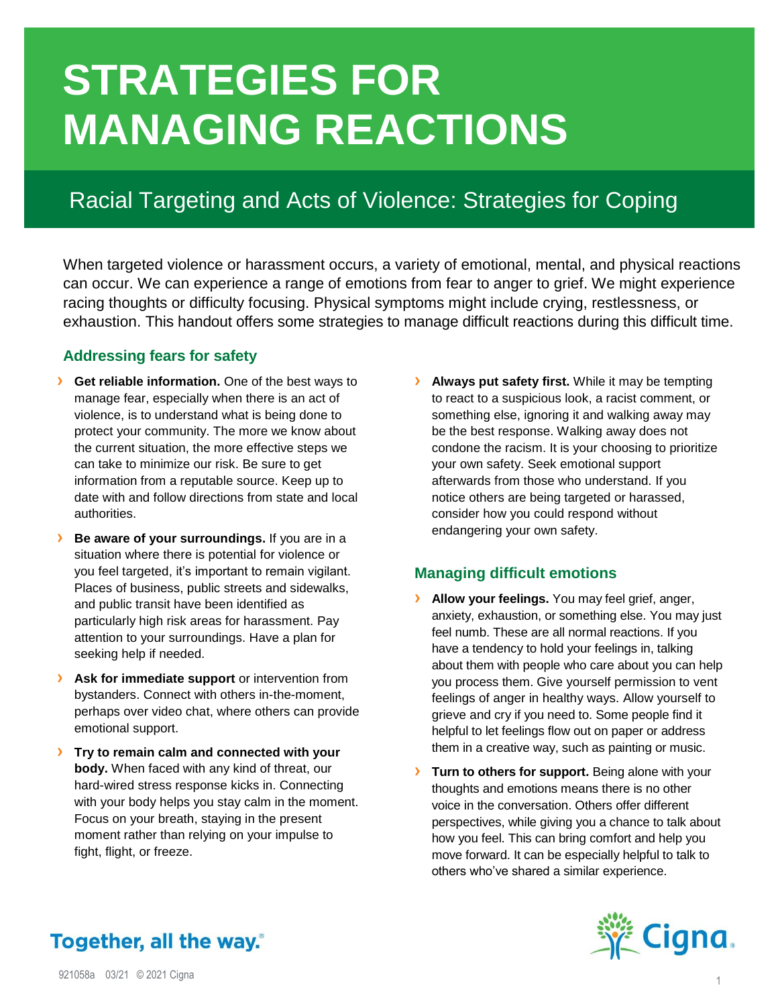# **STRATEGIES FOR MANAGING REACTIONS**

# Racial Targeting and Acts of Violence: Strategies for Coping

When targeted violence or harassment occurs, a variety of emotional, mental, and physical reactions can occur. We can experience a range of emotions from fear to anger to grief. We might experience racing thoughts or difficulty focusing. Physical symptoms might include crying, restlessness, or exhaustion. This handout offers some strategies to manage difficult reactions during this difficult time.

## **Addressing fears for safety**

- **>** Get reliable information. One of the best ways to manage fear, especially when there is an act of violence, is to understand what is being done to protect your community. The more we know about the current situation, the more effective steps we can take to minimize our risk. Be sure to get information from a reputable source. Keep up to date with and follow directions from state and local authorities.
- **› Be aware of your surroundings.** If you are in a situation where there is potential for violence or you feel targeted, it's important to remain vigilant. Places of business, public streets and sidewalks, and public transit have been identified as particularly high risk areas for harassment. Pay attention to your surroundings. Have a plan for seeking help if needed.
- **>** Ask for immediate support or intervention from bystanders. Connect with others in-the-moment, perhaps over video chat, where others can provide emotional support.
- **› Try to remain calm and connected with your body.** When faced with any kind of threat, our hard-wired stress response kicks in. Connecting with your body helps you stay calm in the moment. Focus on your breath, staying in the present moment rather than relying on your impulse to fight, flight, or freeze.

**› Always put safety first.** While it may be tempting to react to a suspicious look, a racist comment, or something else, ignoring it and walking away may be the best response. Walking away does not condone the racism. It is your choosing to prioritize your own safety. Seek emotional support afterwards from those who understand. If you notice others are being targeted or harassed, consider how you could respond without endangering your own safety.

# **Managing difficult emotions**

- **› Allow your feelings.** You may feel grief, anger, anxiety, exhaustion, or something else. You may just feel numb. These are all normal reactions. If you have a tendency to hold your feelings in, talking about them with people who care about you can help you process them. Give yourself permission to vent feelings of anger in healthy ways. Allow yourself to grieve and cry if you need to. Some people find it helpful to let feelings flow out on paper or address them in a creative way, such as painting or music.
- **› Turn to others for support.** Being alone with your thoughts and emotions means there is no other voice in the conversation. Others offer different perspectives, while giving you a chance to talk about how you feel. This can bring comfort and help you move forward. It can be especially helpful to talk to others who've shared a similar experience.



# Together, all the way.